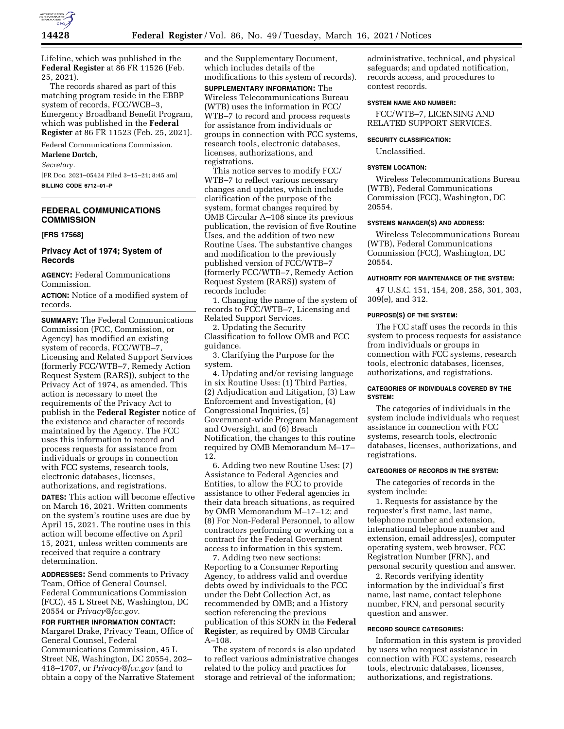

Lifeline, which was published in the **Federal Register** at 86 FR 11526 (Feb. 25, 2021).

The records shared as part of this matching program reside in the EBBP system of records, FCC/WCB–3, Emergency Broadband Benefit Program, which was published in the **Federal Register** at 86 FR 11523 (Feb. 25, 2021).

Federal Communications Commission.

## **Marlene Dortch,**

*Secretary.* 

[FR Doc. 2021–05424 Filed 3–15–21; 8:45 am] **BILLING CODE 6712–01–P** 

# **FEDERAL COMMUNICATIONS COMMISSION**

#### **[FRS 17568]**

# **Privacy Act of 1974; System of Records**

**AGENCY:** Federal Communications Commission.

**ACTION:** Notice of a modified system of records.

**SUMMARY:** The Federal Communications Commission (FCC, Commission, or Agency) has modified an existing system of records, FCC/WTB–7, Licensing and Related Support Services (formerly FCC/WTB–7, Remedy Action Request System (RARS)), subject to the Privacy Act of 1974, as amended. This action is necessary to meet the requirements of the Privacy Act to publish in the **Federal Register** notice of the existence and character of records maintained by the Agency. The FCC uses this information to record and process requests for assistance from individuals or groups in connection with FCC systems, research tools, electronic databases, licenses, authorizations, and registrations.

**DATES:** This action will become effective on March 16, 2021. Written comments on the system's routine uses are due by April 15, 2021. The routine uses in this action will become effective on April 15, 2021, unless written comments are received that require a contrary determination.

**ADDRESSES:** Send comments to Privacy Team, Office of General Counsel, Federal Communications Commission (FCC), 45 L Street NE, Washington, DC 20554 or *Privacy@fcc.gov.* 

**FOR FURTHER INFORMATION CONTACT:**  Margaret Drake, Privacy Team, Office of General Counsel, Federal Communications Commission, 45 L Street NE, Washington, DC 20554, 202– 418–1707, or *Privacy@fcc.gov* (and to obtain a copy of the Narrative Statement and the Supplementary Document, which includes details of the modifications to this system of records).

**SUPPLEMENTARY INFORMATION:** The Wireless Telecommunications Bureau (WTB) uses the information in FCC/ WTB–7 to record and process requests for assistance from individuals or groups in connection with FCC systems, research tools, electronic databases, licenses, authorizations, and registrations.

This notice serves to modify FCC/ WTB–7 to reflect various necessary changes and updates, which include clarification of the purpose of the system, format changes required by OMB Circular A–108 since its previous publication, the revision of five Routine Uses, and the addition of two new Routine Uses. The substantive changes and modification to the previously published version of FCC/WTB–7 (formerly FCC/WTB–7, Remedy Action Request System (RARS)) system of records include:

1. Changing the name of the system of records to FCC/WTB–7, Licensing and Related Support Services.

2. Updating the Security Classification to follow OMB and FCC guidance.

3. Clarifying the Purpose for the system.

4. Updating and/or revising language in six Routine Uses: (1) Third Parties, (2) Adjudication and Litigation, (3) Law Enforcement and Investigation, (4) Congressional Inquiries, (5) Government-wide Program Management and Oversight, and (6) Breach Notification, the changes to this routine required by OMB Memorandum M–17– 12.

6. Adding two new Routine Uses: (7) Assistance to Federal Agencies and Entities, to allow the FCC to provide assistance to other Federal agencies in their data breach situations, as required by OMB Memorandum M–17–12; and (8) For Non-Federal Personnel, to allow contractors performing or working on a contract for the Federal Government access to information in this system.

7. Adding two new sections: Reporting to a Consumer Reporting Agency, to address valid and overdue debts owed by individuals to the FCC under the Debt Collection Act, as recommended by OMB; and a History section referencing the previous publication of this SORN in the **Federal Register**, as required by OMB Circular A–108.

The system of records is also updated to reflect various administrative changes related to the policy and practices for storage and retrieval of the information;

administrative, technical, and physical safeguards; and updated notification, records access, and procedures to contest records.

## **SYSTEM NAME AND NUMBER:**

FCC/WTB–7, LICENSING AND RELATED SUPPORT SERVICES.

#### **SECURITY CLASSIFICATION:**

Unclassified.

## **SYSTEM LOCATION:**

Wireless Telecommunications Bureau (WTB), Federal Communications Commission (FCC), Washington, DC 20554.

#### **SYSTEMS MANAGER(S) AND ADDRESS:**

Wireless Telecommunications Bureau (WTB), Federal Communications Commission (FCC), Washington, DC 20554.

#### **AUTHORITY FOR MAINTENANCE OF THE SYSTEM:**

47 U.S.C. 151, 154, 208, 258, 301, 303, 309(e), and 312.

#### **PURPOSE(S) OF THE SYSTEM:**

The FCC staff uses the records in this system to process requests for assistance from individuals or groups in connection with FCC systems, research tools, electronic databases, licenses, authorizations, and registrations.

## **CATEGORIES OF INDIVIDUALS COVERED BY THE SYSTEM:**

The categories of individuals in the system include individuals who request assistance in connection with FCC systems, research tools, electronic databases, licenses, authorizations, and registrations.

#### **CATEGORIES OF RECORDS IN THE SYSTEM:**

The categories of records in the system include:

1. Requests for assistance by the requester's first name, last name, telephone number and extension, international telephone number and extension, email address(es), computer operating system, web browser, FCC Registration Number (FRN), and personal security question and answer.

2. Records verifying identity information by the individual's first name, last name, contact telephone number, FRN, and personal security question and answer.

## **RECORD SOURCE CATEGORIES:**

Information in this system is provided by users who request assistance in connection with FCC systems, research tools, electronic databases, licenses, authorizations, and registrations.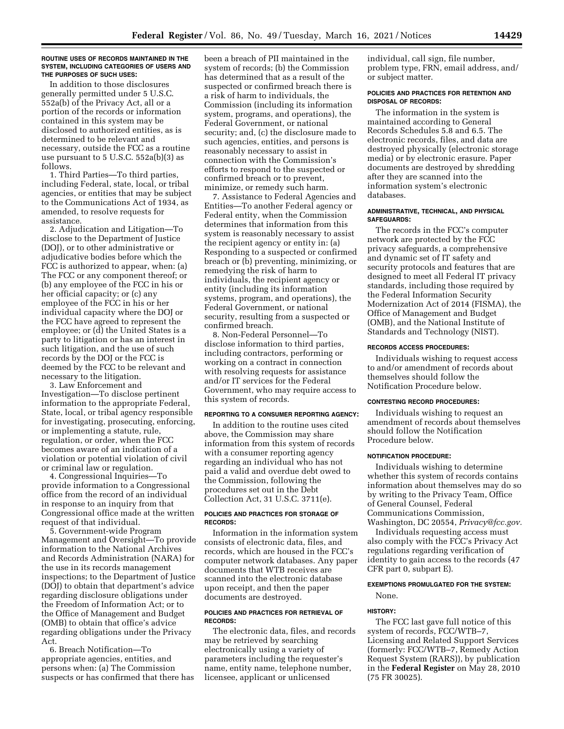#### **ROUTINE USES OF RECORDS MAINTAINED IN THE SYSTEM, INCLUDING CATEGORIES OF USERS AND THE PURPOSES OF SUCH USES:**

In addition to those disclosures generally permitted under 5 U.S.C. 552a(b) of the Privacy Act, all or a portion of the records or information contained in this system may be disclosed to authorized entities, as is determined to be relevant and necessary, outside the FCC as a routine use pursuant to 5 U.S.C. 552a(b)(3) as follows.

1. Third Parties—To third parties, including Federal, state, local, or tribal agencies, or entities that may be subject to the Communications Act of 1934, as amended, to resolve requests for assistance.

2. Adjudication and Litigation—To disclose to the Department of Justice (DOJ), or to other administrative or adjudicative bodies before which the FCC is authorized to appear, when: (a) The FCC or any component thereof; or (b) any employee of the FCC in his or her official capacity; or (c) any employee of the FCC in his or her individual capacity where the DOJ or the FCC have agreed to represent the employee; or (d) the United States is a party to litigation or has an interest in such litigation, and the use of such records by the DOJ or the FCC is deemed by the FCC to be relevant and necessary to the litigation.

3. Law Enforcement and Investigation—To disclose pertinent information to the appropriate Federal, State, local, or tribal agency responsible for investigating, prosecuting, enforcing, or implementing a statute, rule, regulation, or order, when the FCC becomes aware of an indication of a violation or potential violation of civil or criminal law or regulation.

4. Congressional Inquiries—To provide information to a Congressional office from the record of an individual in response to an inquiry from that Congressional office made at the written request of that individual.

5. Government-wide Program Management and Oversight—To provide information to the National Archives and Records Administration (NARA) for the use in its records management inspections; to the Department of Justice (DOJ) to obtain that department's advice regarding disclosure obligations under the Freedom of Information Act; or to the Office of Management and Budget (OMB) to obtain that office's advice regarding obligations under the Privacy Act.

6. Breach Notification—To appropriate agencies, entities, and persons when: (a) The Commission suspects or has confirmed that there has

been a breach of PII maintained in the system of records; (b) the Commission has determined that as a result of the suspected or confirmed breach there is a risk of harm to individuals, the Commission (including its information system, programs, and operations), the Federal Government, or national security; and, (c) the disclosure made to such agencies, entities, and persons is reasonably necessary to assist in connection with the Commission's efforts to respond to the suspected or confirmed breach or to prevent, minimize, or remedy such harm.

7. Assistance to Federal Agencies and Entities—To another Federal agency or Federal entity, when the Commission determines that information from this system is reasonably necessary to assist the recipient agency or entity in: (a) Responding to a suspected or confirmed breach or (b) preventing, minimizing, or remedying the risk of harm to individuals, the recipient agency or entity (including its information systems, program, and operations), the Federal Government, or national security, resulting from a suspected or confirmed breach.

8. Non-Federal Personnel—To disclose information to third parties, including contractors, performing or working on a contract in connection with resolving requests for assistance and/or IT services for the Federal Government, who may require access to this system of records.

#### **REPORTING TO A CONSUMER REPORTING AGENCY:**

In addition to the routine uses cited above, the Commission may share information from this system of records with a consumer reporting agency regarding an individual who has not paid a valid and overdue debt owed to the Commission, following the procedures set out in the Debt Collection Act, 31 U.S.C. 3711(e).

### **POLICIES AND PRACTICES FOR STORAGE OF RECORDS:**

Information in the information system consists of electronic data, files, and records, which are housed in the FCC's computer network databases. Any paper documents that WTB receives are scanned into the electronic database upon receipt, and then the paper documents are destroyed.

## **POLICIES AND PRACTICES FOR RETRIEVAL OF RECORDS:**

The electronic data, files, and records may be retrieved by searching electronically using a variety of parameters including the requester's name, entity name, telephone number, licensee, applicant or unlicensed

individual, call sign, file number, problem type, FRN, email address, and/ or subject matter.

#### **POLICIES AND PRACTICES FOR RETENTION AND DISPOSAL OF RECORDS:**

The information in the system is maintained according to General Records Schedules 5.8 and 6.5. The electronic records, files, and data are destroyed physically (electronic storage media) or by electronic erasure. Paper documents are destroyed by shredding after they are scanned into the information system's electronic databases.

#### **ADMINISTRATIVE, TECHNICAL, AND PHYSICAL SAFEGUARDS:**

The records in the FCC's computer network are protected by the FCC privacy safeguards, a comprehensive and dynamic set of IT safety and security protocols and features that are designed to meet all Federal IT privacy standards, including those required by the Federal Information Security Modernization Act of 2014 (FISMA), the Office of Management and Budget (OMB), and the National Institute of Standards and Technology (NIST).

# **RECORDS ACCESS PROCEDURES:**

Individuals wishing to request access to and/or amendment of records about themselves should follow the Notification Procedure below.

#### **CONTESTING RECORD PROCEDURES:**

Individuals wishing to request an amendment of records about themselves should follow the Notification Procedure below.

### **NOTIFICATION PROCEDURE:**

Individuals wishing to determine whether this system of records contains information about themselves may do so by writing to the Privacy Team, Office of General Counsel, Federal Communications Commission, Washington, DC 20554, *Privacy@fcc.gov.* 

Individuals requesting access must also comply with the FCC's Privacy Act regulations regarding verification of identity to gain access to the records (47 CFR part 0, subpart E).

### **EXEMPTIONS PROMULGATED FOR THE SYSTEM:**

None.

### **HISTORY:**

The FCC last gave full notice of this system of records, FCC/WTB–7, Licensing and Related Support Services (formerly: FCC/WTB–7, Remedy Action Request System (RARS)), by publication in the **Federal Register** on May 28, 2010 (75 FR 30025).